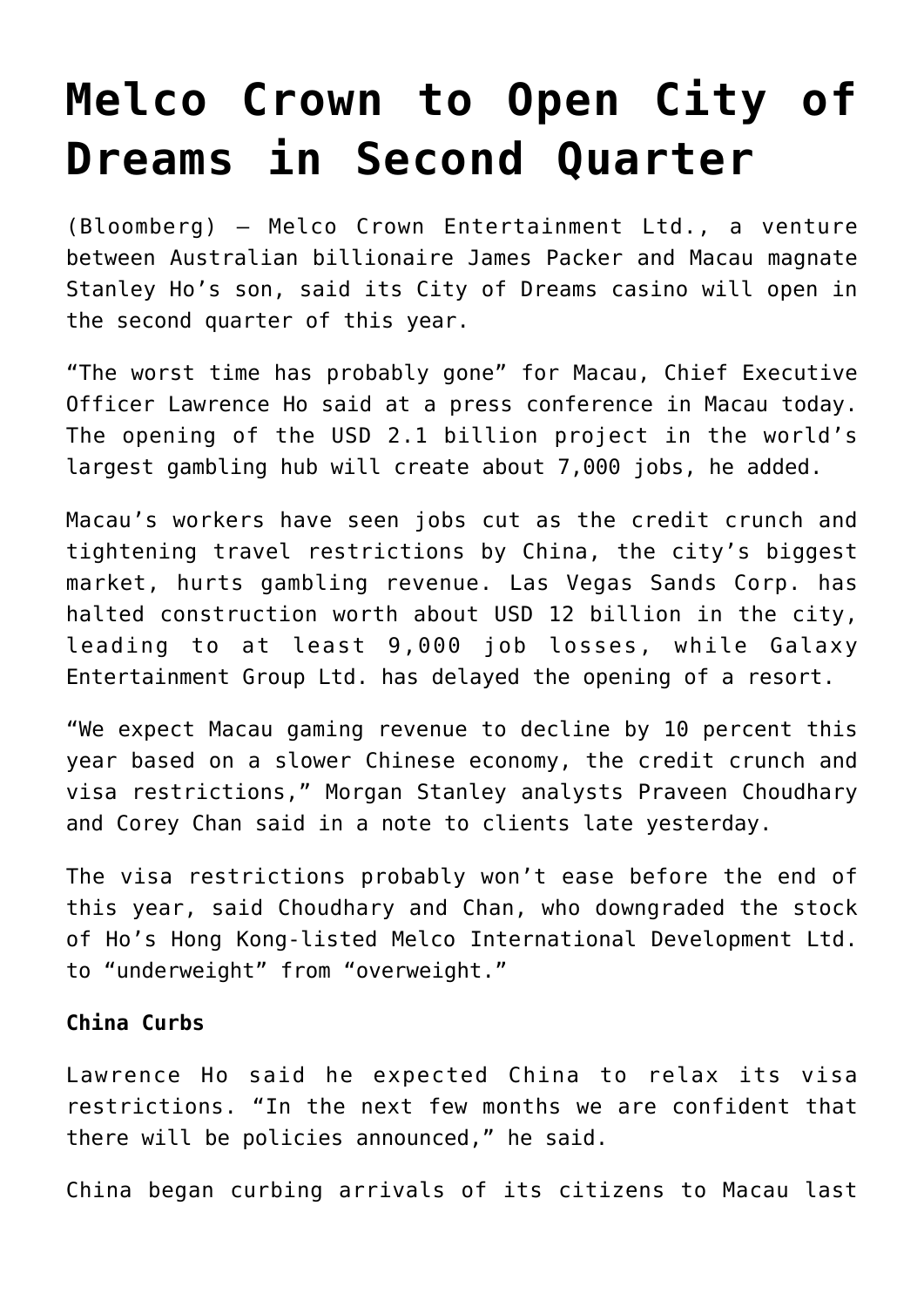## **[Melco Crown to Open City of](https://www.isa-guide.de/english-news/articles/24162.html) [Dreams in Second Quarter](https://www.isa-guide.de/english-news/articles/24162.html)**

(Bloomberg) — Melco Crown Entertainment Ltd., a venture between Australian billionaire James Packer and Macau magnate Stanley Ho's son, said its City of Dreams casino will open in the second quarter of this year.

"The worst time has probably gone" for Macau, Chief Executive Officer Lawrence Ho said at a press conference in Macau today. The opening of the USD 2.1 billion project in the world's largest gambling hub will create about 7,000 jobs, he added.

Macau's workers have seen jobs cut as the credit crunch and tightening travel restrictions by China, the city's biggest market, hurts gambling revenue. Las Vegas Sands Corp. has halted construction worth about USD 12 billion in the city, leading to at least 9,000 job losses, while Galaxy Entertainment Group Ltd. has delayed the opening of a resort.

"We expect Macau gaming revenue to decline by 10 percent this year based on a slower Chinese economy, the credit crunch and visa restrictions," Morgan Stanley analysts Praveen Choudhary and Corey Chan said in a note to clients late yesterday.

The visa restrictions probably won't ease before the end of this year, said Choudhary and Chan, who downgraded the stock of Ho's Hong Kong-listed Melco International Development Ltd. to "underweight" from "overweight."

## **China Curbs**

Lawrence Ho said he expected China to relax its visa restrictions. "In the next few months we are confident that there will be policies announced," he said.

China began curbing arrivals of its citizens to Macau last